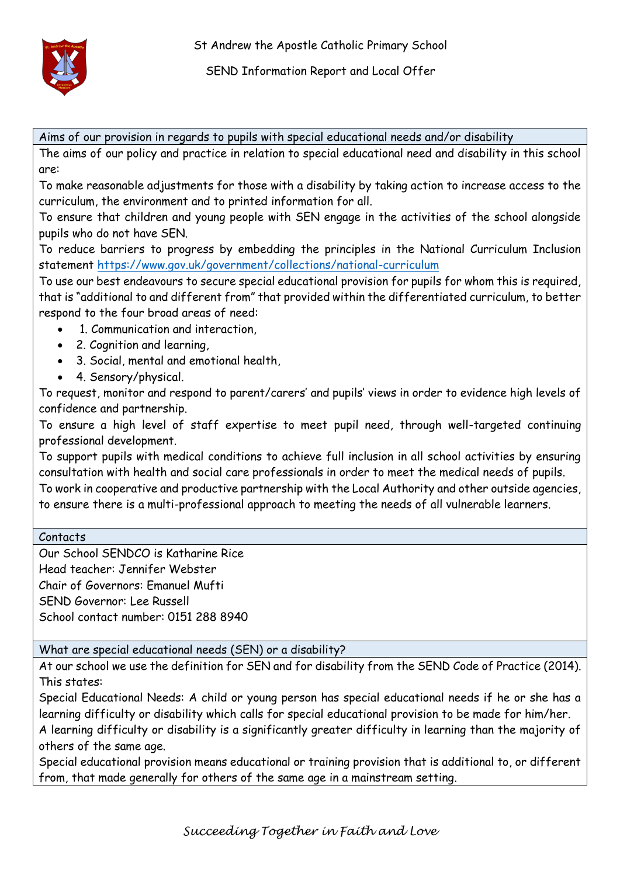

Aims of our provision in regards to pupils with special educational needs and/or disability

The aims of our policy and practice in relation to special educational need and disability in this school are:

To make reasonable adjustments for those with a disability by taking action to increase access to the curriculum, the environment and to printed information for all.

To ensure that children and young people with SEN engage in the activities of the school alongside pupils who do not have SEN.

To reduce barriers to progress by embedding the principles in the National Curriculum Inclusion statement <https://www.gov.uk/government/collections/national-curriculum>

To use our best endeavours to secure special educational provision for pupils for whom this is required, that is "additional to and different from" that provided within the differentiated curriculum, to better respond to the four broad areas of need:

- 1. Communication and interaction.
- 2. Cognition and learning,
- 3. Social, mental and emotional health,
- 4. Sensory/physical.

To request, monitor and respond to parent/carers' and pupils' views in order to evidence high levels of confidence and partnership.

To ensure a high level of staff expertise to meet pupil need, through well-targeted continuing professional development.

To support pupils with medical conditions to achieve full inclusion in all school activities by ensuring consultation with health and social care professionals in order to meet the medical needs of pupils. To work in cooperative and productive partnership with the Local Authority and other outside agencies, to ensure there is a multi-professional approach to meeting the needs of all vulnerable learners.

Contacts

Our School SENDCO is Katharine Rice Head teacher: Jennifer Webster Chair of Governors: Emanuel Mufti SEND Governor: Lee Russell School contact number: 0151 288 8940

What are special educational needs (SEN) or a disability?

At our school we use the definition for SEN and for disability from the SEND Code of Practice (2014). This states:

Special Educational Needs: A child or young person has special educational needs if he or she has a learning difficulty or disability which calls for special educational provision to be made for him/her.

A learning difficulty or disability is a significantly greater difficulty in learning than the majority of others of the same age.

Special educational provision means educational or training provision that is additional to, or different from, that made generally for others of the same age in a mainstream setting.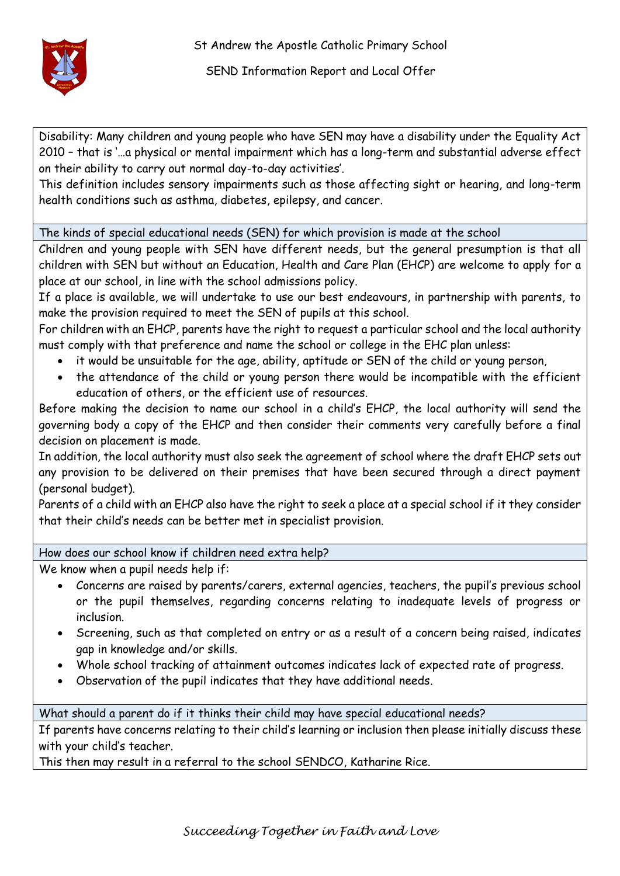

Disability: Many children and young people who have SEN may have a disability under the Equality Act 2010 – that is '…a physical or mental impairment which has a long-term and substantial adverse effect on their ability to carry out normal day-to-day activities'.

This definition includes sensory impairments such as those affecting sight or hearing, and long-term health conditions such as asthma, diabetes, epilepsy, and cancer.

The kinds of special educational needs (SEN) for which provision is made at the school

Children and young people with SEN have different needs, but the general presumption is that all children with SEN but without an Education, Health and Care Plan (EHCP) are welcome to apply for a place at our school, in line with the school admissions policy.

If a place is available, we will undertake to use our best endeavours, in partnership with parents, to make the provision required to meet the SEN of pupils at this school.

For children with an EHCP, parents have the right to request a particular school and the local authority must comply with that preference and name the school or college in the EHC plan unless:

- it would be unsuitable for the age, ability, aptitude or SEN of the child or young person,
- the attendance of the child or young person there would be incompatible with the efficient education of others, or the efficient use of resources.

Before making the decision to name our school in a child's EHCP, the local authority will send the governing body a copy of the EHCP and then consider their comments very carefully before a final decision on placement is made.

In addition, the local authority must also seek the agreement of school where the draft EHCP sets out any provision to be delivered on their premises that have been secured through a direct payment (personal budget).

Parents of a child with an EHCP also have the right to seek a place at a special school if it they consider that their child's needs can be better met in specialist provision.

How does our school know if children need extra help?

We know when a pupil needs help if:

- Concerns are raised by parents/carers, external agencies, teachers, the pupil's previous school or the pupil themselves, regarding concerns relating to inadequate levels of progress or inclusion.
- Screening, such as that completed on entry or as a result of a concern being raised, indicates gap in knowledge and/or skills.
- Whole school tracking of attainment outcomes indicates lack of expected rate of progress.
- Observation of the pupil indicates that they have additional needs.

What should a parent do if it thinks their child may have special educational needs?

If parents have concerns relating to their child's learning or inclusion then please initially discuss these with your child's teacher.

This then may result in a referral to the school SENDCO, Katharine Rice.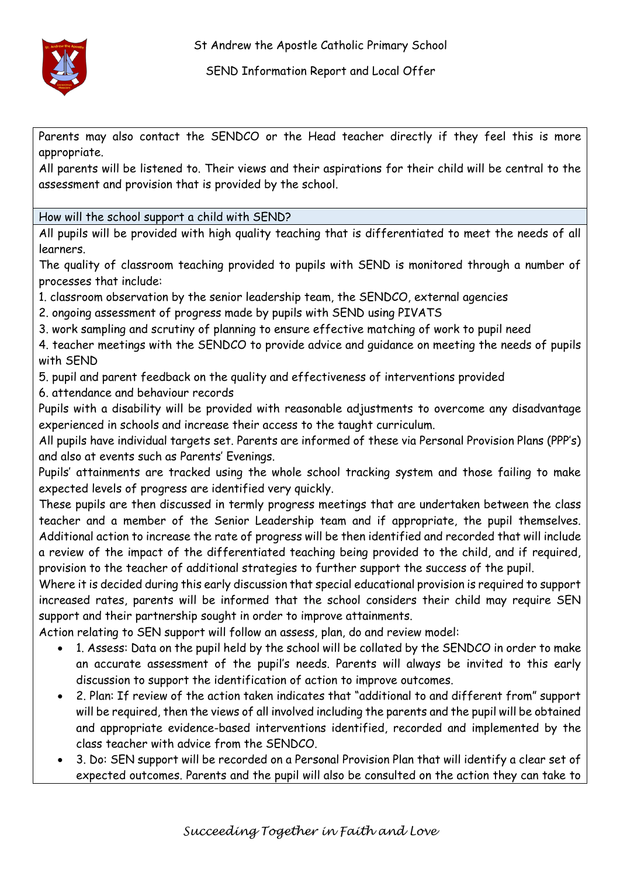

Parents may also contact the SENDCO or the Head teacher directly if they feel this is more appropriate.

All parents will be listened to. Their views and their aspirations for their child will be central to the assessment and provision that is provided by the school.

How will the school support a child with SEND?

All pupils will be provided with high quality teaching that is differentiated to meet the needs of all learners.

The quality of classroom teaching provided to pupils with SEND is monitored through a number of processes that include:

1. classroom observation by the senior leadership team, the SENDCO, external agencies

2. ongoing assessment of progress made by pupils with SEND using PIVATS

3. work sampling and scrutiny of planning to ensure effective matching of work to pupil need

4. teacher meetings with the SENDCO to provide advice and guidance on meeting the needs of pupils with SEND

- 5. pupil and parent feedback on the quality and effectiveness of interventions provided
- 6. attendance and behaviour records

Pupils with a disability will be provided with reasonable adjustments to overcome any disadvantage experienced in schools and increase their access to the taught curriculum.

All pupils have individual targets set. Parents are informed of these via Personal Provision Plans (PPP's) and also at events such as Parents' Evenings.

Pupils' attainments are tracked using the whole school tracking system and those failing to make expected levels of progress are identified very quickly.

These pupils are then discussed in termly progress meetings that are undertaken between the class teacher and a member of the Senior Leadership team and if appropriate, the pupil themselves. Additional action to increase the rate of progress will be then identified and recorded that will include a review of the impact of the differentiated teaching being provided to the child, and if required, provision to the teacher of additional strategies to further support the success of the pupil.

Where it is decided during this early discussion that special educational provision is required to support increased rates, parents will be informed that the school considers their child may require SEN support and their partnership sought in order to improve attainments.

Action relating to SEN support will follow an assess, plan, do and review model:

- 1. Assess: Data on the pupil held by the school will be collated by the SENDCO in order to make an accurate assessment of the pupil's needs. Parents will always be invited to this early discussion to support the identification of action to improve outcomes.
- 2. Plan: If review of the action taken indicates that "additional to and different from" support will be required, then the views of all involved including the parents and the pupil will be obtained and appropriate evidence-based interventions identified, recorded and implemented by the class teacher with advice from the SENDCO.
- 3. Do: SEN support will be recorded on a Personal Provision Plan that will identify a clear set of expected outcomes. Parents and the pupil will also be consulted on the action they can take to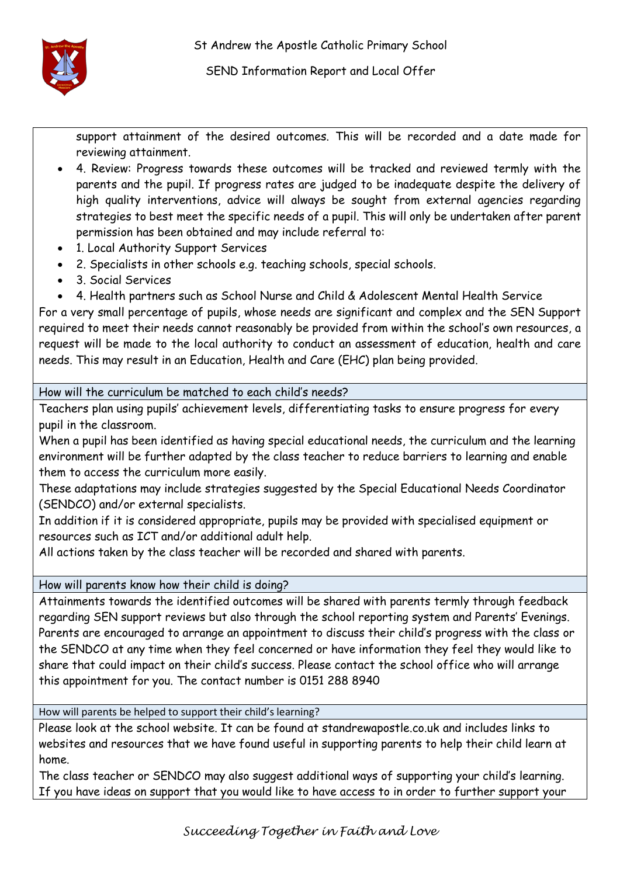

support attainment of the desired outcomes. This will be recorded and a date made for reviewing attainment.

- 4. Review: Progress towards these outcomes will be tracked and reviewed termly with the parents and the pupil. If progress rates are judged to be inadequate despite the delivery of high quality interventions, advice will always be sought from external agencies regarding strategies to best meet the specific needs of a pupil. This will only be undertaken after parent permission has been obtained and may include referral to:
- 1. Local Authority Support Services
- 2. Specialists in other schools e.g. teaching schools, special schools.
- 3. Social Services
- 4. Health partners such as School Nurse and Child & Adolescent Mental Health Service

For a very small percentage of pupils, whose needs are significant and complex and the SEN Support required to meet their needs cannot reasonably be provided from within the school's own resources, a request will be made to the local authority to conduct an assessment of education, health and care needs. This may result in an Education, Health and Care (EHC) plan being provided.

## How will the curriculum be matched to each child's needs?

Teachers plan using pupils' achievement levels, differentiating tasks to ensure progress for every pupil in the classroom.

When a pupil has been identified as having special educational needs, the curriculum and the learning environment will be further adapted by the class teacher to reduce barriers to learning and enable them to access the curriculum more easily.

These adaptations may include strategies suggested by the Special Educational Needs Coordinator (SENDCO) and/or external specialists.

In addition if it is considered appropriate, pupils may be provided with specialised equipment or resources such as ICT and/or additional adult help.

All actions taken by the class teacher will be recorded and shared with parents.

How will parents know how their child is doing?

Attainments towards the identified outcomes will be shared with parents termly through feedback regarding SEN support reviews but also through the school reporting system and Parents' Evenings. Parents are encouraged to arrange an appointment to discuss their child's progress with the class or the SENDCO at any time when they feel concerned or have information they feel they would like to share that could impact on their child's success. Please contact the school office who will arrange this appointment for you. The contact number is 0151 288 8940

How will parents be helped to support their child's learning?

Please look at the school website. It can be found at standrewapostle.co.uk and includes links to websites and resources that we have found useful in supporting parents to help their child learn at home.

The class teacher or SENDCO may also suggest additional ways of supporting your child's learning. If you have ideas on support that you would like to have access to in order to further support your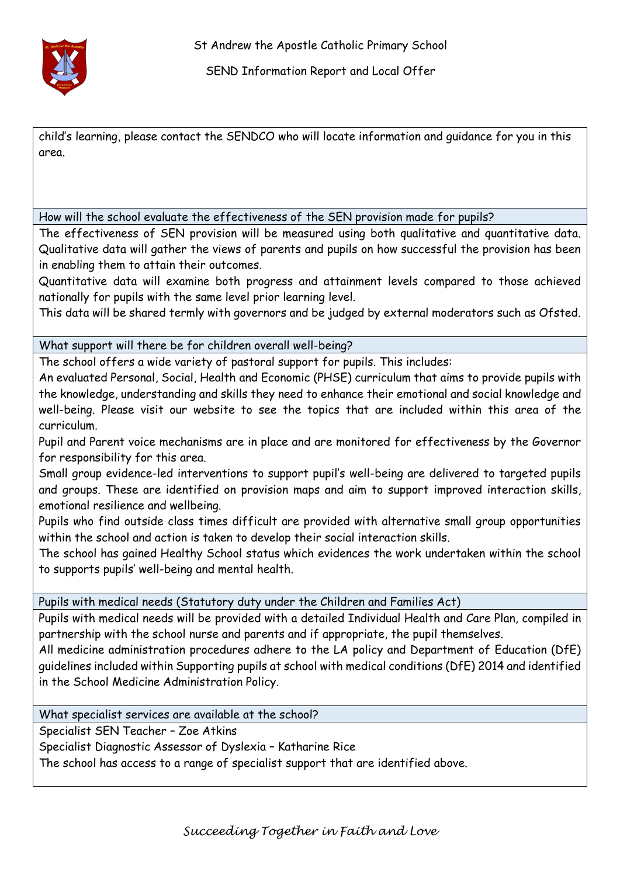

child's learning, please contact the SENDCO who will locate information and guidance for you in this area.

How will the school evaluate the effectiveness of the SEN provision made for pupils?

The effectiveness of SEN provision will be measured using both qualitative and quantitative data. Qualitative data will gather the views of parents and pupils on how successful the provision has been in enabling them to attain their outcomes.

Quantitative data will examine both progress and attainment levels compared to those achieved nationally for pupils with the same level prior learning level.

This data will be shared termly with governors and be judged by external moderators such as Ofsted.

What support will there be for children overall well-being?

The school offers a wide variety of pastoral support for pupils. This includes:

An evaluated Personal, Social, Health and Economic (PHSE) curriculum that aims to provide pupils with the knowledge, understanding and skills they need to enhance their emotional and social knowledge and well-being. Please visit our website to see the topics that are included within this area of the curriculum.

Pupil and Parent voice mechanisms are in place and are monitored for effectiveness by the Governor for responsibility for this area.

Small group evidence-led interventions to support pupil's well-being are delivered to targeted pupils and groups. These are identified on provision maps and aim to support improved interaction skills, emotional resilience and wellbeing.

Pupils who find outside class times difficult are provided with alternative small group opportunities within the school and action is taken to develop their social interaction skills.

The school has gained Healthy School status which evidences the work undertaken within the school to supports pupils' well-being and mental health.

Pupils with medical needs (Statutory duty under the Children and Families Act)

Pupils with medical needs will be provided with a detailed Individual Health and Care Plan, compiled in partnership with the school nurse and parents and if appropriate, the pupil themselves.

All medicine administration procedures adhere to the LA policy and Department of Education (DfE) guidelines included within Supporting pupils at school with medical conditions (DfE) 2014 and identified in the School Medicine Administration Policy.

What specialist services are available at the school?

Specialist SEN Teacher – Zoe Atkins

Specialist Diagnostic Assessor of Dyslexia – Katharine Rice

The school has access to a range of specialist support that are identified above.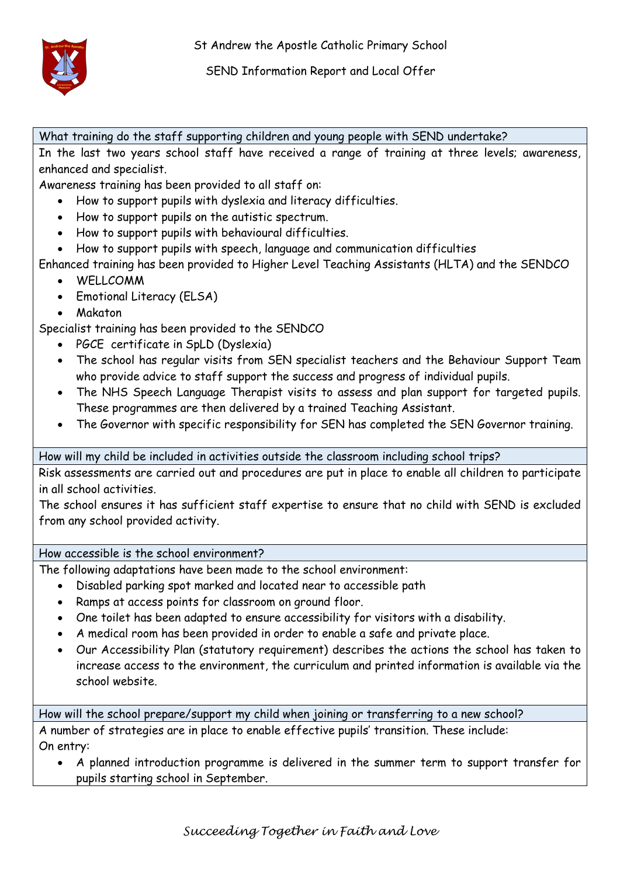

What training do the staff supporting children and young people with SEND undertake?

In the last two years school staff have received a range of training at three levels; awareness, enhanced and specialist.

Awareness training has been provided to all staff on:

- How to support pupils with dyslexia and literacy difficulties.
- How to support pupils on the autistic spectrum.
- How to support pupils with behavioural difficulties.
- How to support pupils with speech, language and communication difficulties

Enhanced training has been provided to Higher Level Teaching Assistants (HLTA) and the SENDCO

- WELLCOMM
- Emotional Literacy (ELSA)
- Makaton

Specialist training has been provided to the SENDCO

- PGCE certificate in SpLD (Dyslexia)
- The school has regular visits from SEN specialist teachers and the Behaviour Support Team who provide advice to staff support the success and progress of individual pupils.
- The NHS Speech Language Therapist visits to assess and plan support for targeted pupils. These programmes are then delivered by a trained Teaching Assistant.
- The Governor with specific responsibility for SEN has completed the SEN Governor training.

How will my child be included in activities outside the classroom including school trips?

Risk assessments are carried out and procedures are put in place to enable all children to participate in all school activities.

The school ensures it has sufficient staff expertise to ensure that no child with SEND is excluded from any school provided activity.

How accessible is the school environment?

The following adaptations have been made to the school environment:

- Disabled parking spot marked and located near to accessible path
- Ramps at access points for classroom on ground floor.
- One toilet has been adapted to ensure accessibility for visitors with a disability.
- A medical room has been provided in order to enable a safe and private place.
- Our Accessibility Plan (statutory requirement) describes the actions the school has taken to increase access to the environment, the curriculum and printed information is available via the school website.

How will the school prepare/support my child when joining or transferring to a new school?

A number of strategies are in place to enable effective pupils' transition. These include: On entry:

• A planned introduction programme is delivered in the summer term to support transfer for pupils starting school in September.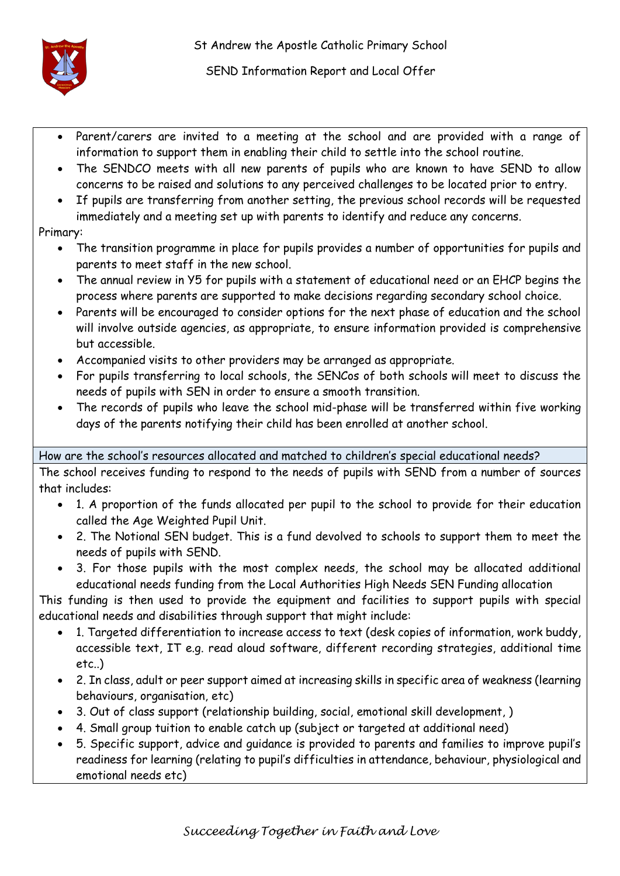

- Parent/carers are invited to a meeting at the school and are provided with a range of information to support them in enabling their child to settle into the school routine.
- The SENDCO meets with all new parents of pupils who are known to have SEND to allow concerns to be raised and solutions to any perceived challenges to be located prior to entry.
- If pupils are transferring from another setting, the previous school records will be requested immediately and a meeting set up with parents to identify and reduce any concerns.

Primary:

- The transition programme in place for pupils provides a number of opportunities for pupils and parents to meet staff in the new school.
- The annual review in Y5 for pupils with a statement of educational need or an EHCP begins the process where parents are supported to make decisions regarding secondary school choice.
- Parents will be encouraged to consider options for the next phase of education and the school will involve outside agencies, as appropriate, to ensure information provided is comprehensive but accessible.
- Accompanied visits to other providers may be arranged as appropriate.
- For pupils transferring to local schools, the SENCos of both schools will meet to discuss the needs of pupils with SEN in order to ensure a smooth transition.
- The records of pupils who leave the school mid-phase will be transferred within five working days of the parents notifying their child has been enrolled at another school.

How are the school's resources allocated and matched to children's special educational needs?

The school receives funding to respond to the needs of pupils with SEND from a number of sources that includes:

- 1. A proportion of the funds allocated per pupil to the school to provide for their education called the Age Weighted Pupil Unit.
- 2. The Notional SEN budget. This is a fund devolved to schools to support them to meet the needs of pupils with SEND.
- 3. For those pupils with the most complex needs, the school may be allocated additional educational needs funding from the Local Authorities High Needs SEN Funding allocation

This funding is then used to provide the equipment and facilities to support pupils with special educational needs and disabilities through support that might include:

- 1. Targeted differentiation to increase access to text (desk copies of information, work buddy, accessible text, IT e.g. read aloud software, different recording strategies, additional time etc..)
- 2. In class, adult or peer support aimed at increasing skills in specific area of weakness (learning behaviours, organisation, etc)
- 3. Out of class support (relationship building, social, emotional skill development, )
- 4. Small group tuition to enable catch up (subject or targeted at additional need)
- 5. Specific support, advice and guidance is provided to parents and families to improve pupil's readiness for learning (relating to pupil's difficulties in attendance, behaviour, physiological and emotional needs etc)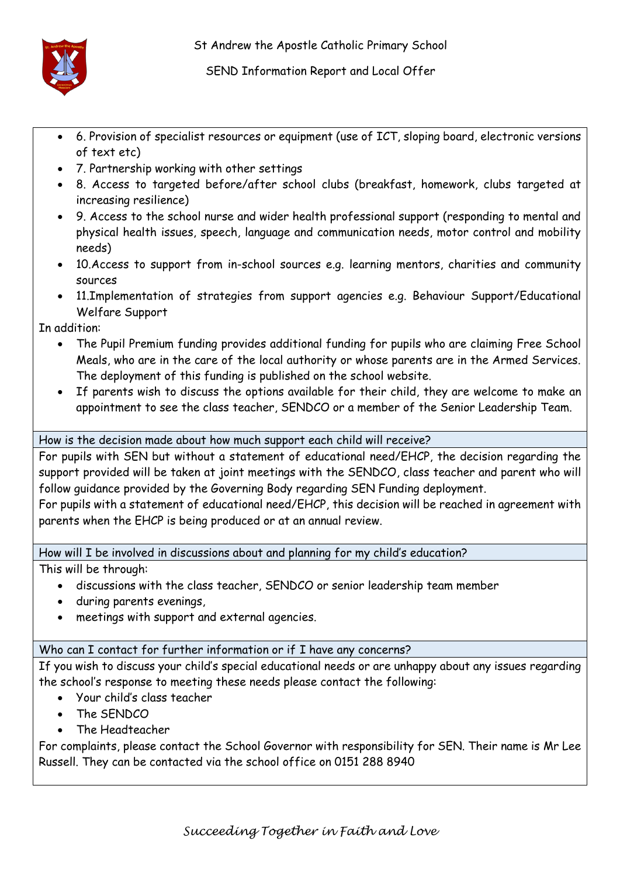

- 6. Provision of specialist resources or equipment (use of ICT, sloping board, electronic versions of text etc)
- 7. Partnership working with other settings
- 8. Access to targeted before/after school clubs (breakfast, homework, clubs targeted at increasing resilience)
- 9. Access to the school nurse and wider health professional support (responding to mental and physical health issues, speech, language and communication needs, motor control and mobility needs)
- 10.Access to support from in-school sources e.g. learning mentors, charities and community sources
- 11.Implementation of strategies from support agencies e.g. Behaviour Support/Educational Welfare Support

In addition:

- The Pupil Premium funding provides additional funding for pupils who are claiming Free School Meals, who are in the care of the local authority or whose parents are in the Armed Services. The deployment of this funding is published on the school website.
- If parents wish to discuss the options available for their child, they are welcome to make an appointment to see the class teacher, SENDCO or a member of the Senior Leadership Team.

How is the decision made about how much support each child will receive?

For pupils with SEN but without a statement of educational need/EHCP, the decision regarding the support provided will be taken at joint meetings with the SENDCO, class teacher and parent who will follow guidance provided by the Governing Body regarding SEN Funding deployment.

For pupils with a statement of educational need/EHCP, this decision will be reached in agreement with parents when the EHCP is being produced or at an annual review.

How will I be involved in discussions about and planning for my child's education?

This will be through:

- discussions with the class teacher, SENDCO or senior leadership team member
- during parents evenings,
- meetings with support and external agencies.

Who can I contact for further information or if I have any concerns?

If you wish to discuss your child's special educational needs or are unhappy about any issues regarding the school's response to meeting these needs please contact the following:

- Your child's class teacher
- The SENDCO
- The Headteacher

For complaints, please contact the School Governor with responsibility for SEN. Their name is Mr Lee Russell. They can be contacted via the school office on 0151 288 8940